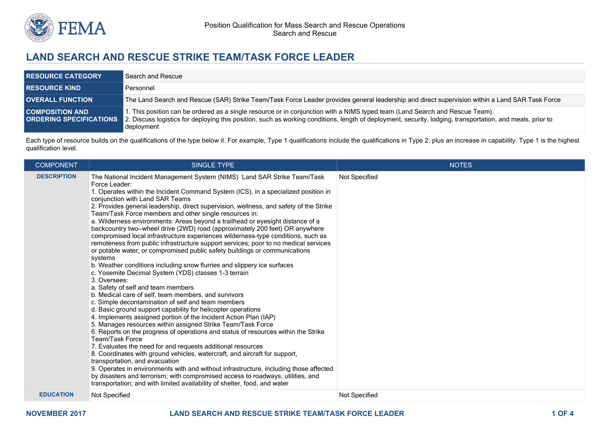

## **LAND SEARCH AND RESCUE STRIKE TEAM/TASK FORCE LEADER**

| <b>RESOURCE CATEGORY</b> | Search and Rescue                                                                                                                                                                                                                                                                                                               |
|--------------------------|---------------------------------------------------------------------------------------------------------------------------------------------------------------------------------------------------------------------------------------------------------------------------------------------------------------------------------|
| <b>RESOURCE KIND</b>     | Personnel                                                                                                                                                                                                                                                                                                                       |
| <b>OVERALL FUNCTION</b>  | The Land Search and Rescue (SAR) Strike Team/Task Force Leader provides general leadership and direct supervision within a Land SAR Task Force                                                                                                                                                                                  |
| <b>COMPOSITION AND</b>   | . This position can be ordered as a single resource or in conjunction with a NIMS typed team (Land Search and Rescue Team).<br>ORDERING SPECIFICATIONS 2. Discuss logistics for deploying this position, such as working conditions, length of deployment, security, lodging, transportation, and meals, prior to<br>deployment |

Each type of resource builds on the qualifications of the type below it. For example, Type 1 qualifications include the qualifications in Type 2, plus an increase in capability. Type 1 is the highest qualification level.

| <b>COMPONENT</b>   | <b>SINGLE TYPE</b>                                                                                                                                                                                                                                                                                                                                                                                                                                                                                                                                                                                                                                                                                                                                                                                                                                                                                                                                                                                                                                                                                                                                                                                                                                                                                                                                                                                                                                                                                                                                                                                                                                                                                                                                                                                                                                                            | <b>NOTES</b>  |
|--------------------|-------------------------------------------------------------------------------------------------------------------------------------------------------------------------------------------------------------------------------------------------------------------------------------------------------------------------------------------------------------------------------------------------------------------------------------------------------------------------------------------------------------------------------------------------------------------------------------------------------------------------------------------------------------------------------------------------------------------------------------------------------------------------------------------------------------------------------------------------------------------------------------------------------------------------------------------------------------------------------------------------------------------------------------------------------------------------------------------------------------------------------------------------------------------------------------------------------------------------------------------------------------------------------------------------------------------------------------------------------------------------------------------------------------------------------------------------------------------------------------------------------------------------------------------------------------------------------------------------------------------------------------------------------------------------------------------------------------------------------------------------------------------------------------------------------------------------------------------------------------------------------|---------------|
| <b>DESCRIPTION</b> | The National Incident Management System (NIMS) Land SAR Strike Team/Task<br>Force Leader:<br>1. Operates within the Incident Command System (ICS), in a specialized position in<br>conjunction with Land SAR Teams<br>2. Provides general leadership, direct supervision, wellness, and safety of the Strike<br>Team/Task Force members and other single resources in:<br>a. Wilderness environments: Areas beyond a trailhead or eyesight distance of a<br>backcountry two-wheel drive (2WD) road (approximately 200 feet) OR anywhere<br>compromised local infrastructure experiences wilderness-type conditions, such as<br>remoteness from public infrastructure support services; poor to no medical services<br>or potable water; or compromised public safety buildings or communications<br>systems<br>b. Weather conditions including snow flurries and slippery ice surfaces<br>c. Yosemite Decimal System (YDS) classes 1-3 terrain<br>3. Oversees:<br>a. Safety of self and team members<br>b. Medical care of self, team members, and survivors<br>c. Simple decontamination of self and team members<br>d. Basic ground support capability for helicopter operations<br>4. Implements assigned portion of the Incident Action Plan (IAP)<br>5. Manages resources within assigned Strike Team/Task Force<br>6. Reports on the progress of operations and status of resources within the Strike<br><b>Team/Task Force</b><br>7. Evaluates the need for and requests additional resources<br>8. Coordinates with ground vehicles, watercraft, and aircraft for support,<br>transportation, and evacuation<br>9. Operates in environments with and without infrastructure, including those affected<br>by disasters and terrorism; with compromised access to roadways, utilities, and<br>transportation; and with limited availability of shelter, food, and water | Not Specified |
| <b>EDUCATION</b>   | Not Specified                                                                                                                                                                                                                                                                                                                                                                                                                                                                                                                                                                                                                                                                                                                                                                                                                                                                                                                                                                                                                                                                                                                                                                                                                                                                                                                                                                                                                                                                                                                                                                                                                                                                                                                                                                                                                                                                 | Not Specified |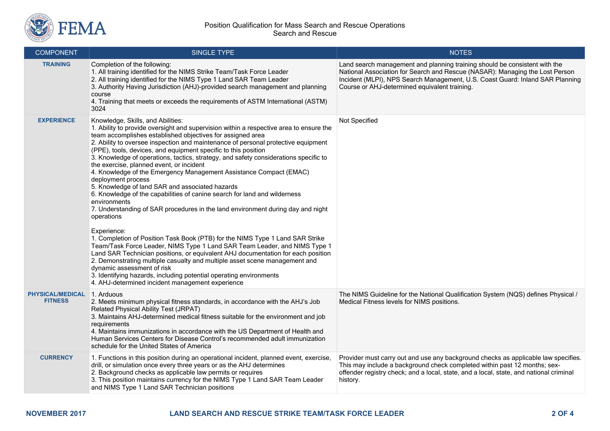

| <b>COMPONENT</b>                          | <b>SINGLE TYPE</b>                                                                                                                                                                                                                                                                                                                                                                                                                                                                                                                                                                                                                                                                                                                                                                                                                                                                                                                                                                                                                                                                                                                                                                                                                                                                                                                       | <b>NOTES</b>                                                                                                                                                                                                                                                                                 |
|-------------------------------------------|------------------------------------------------------------------------------------------------------------------------------------------------------------------------------------------------------------------------------------------------------------------------------------------------------------------------------------------------------------------------------------------------------------------------------------------------------------------------------------------------------------------------------------------------------------------------------------------------------------------------------------------------------------------------------------------------------------------------------------------------------------------------------------------------------------------------------------------------------------------------------------------------------------------------------------------------------------------------------------------------------------------------------------------------------------------------------------------------------------------------------------------------------------------------------------------------------------------------------------------------------------------------------------------------------------------------------------------|----------------------------------------------------------------------------------------------------------------------------------------------------------------------------------------------------------------------------------------------------------------------------------------------|
| <b>TRAINING</b>                           | Completion of the following:<br>1. All training identified for the NIMS Strike Team/Task Force Leader<br>2. All training identified for the NIMS Type 1 Land SAR Team Leader<br>3. Authority Having Jurisdiction (AHJ)-provided search management and planning<br>course<br>4. Training that meets or exceeds the requirements of ASTM International (ASTM)<br>3024                                                                                                                                                                                                                                                                                                                                                                                                                                                                                                                                                                                                                                                                                                                                                                                                                                                                                                                                                                      | Land search management and planning training should be consistent with the<br>National Association for Search and Rescue (NASAR): Managing the Lost Person<br>Incident (MLPI), NPS Search Management, U.S. Coast Guard: Inland SAR Planning<br>Course or AHJ-determined equivalent training. |
| <b>EXPERIENCE</b>                         | Knowledge, Skills, and Abilities:<br>1. Ability to provide oversight and supervision within a respective area to ensure the<br>team accomplishes established objectives for assigned area<br>2. Ability to oversee inspection and maintenance of personal protective equipment<br>(PPE), tools, devices, and equipment specific to this position<br>3. Knowledge of operations, tactics, strategy, and safety considerations specific to<br>the exercise, planned event, or incident<br>4. Knowledge of the Emergency Management Assistance Compact (EMAC)<br>deployment process<br>5. Knowledge of land SAR and associated hazards<br>6. Knowledge of the capabilities of canine search for land and wilderness<br>environments<br>7. Understanding of SAR procedures in the land environment during day and night<br>operations<br>Experience:<br>1. Completion of Position Task Book (PTB) for the NIMS Type 1 Land SAR Strike<br>Team/Task Force Leader, NIMS Type 1 Land SAR Team Leader, and NIMS Type 1<br>Land SAR Technician positions, or equivalent AHJ documentation for each position<br>2. Demonstrating multiple casualty and multiple asset scene management and<br>dynamic assessment of risk<br>3. Identifying hazards, including potential operating environments<br>4. AHJ-determined incident management experience | Not Specified                                                                                                                                                                                                                                                                                |
| <b>PHYSICAL/MEDICAL</b><br><b>FITNESS</b> | 1. Arduous<br>2. Meets minimum physical fitness standards, in accordance with the AHJ's Job<br>Related Physical Ability Test (JRPAT)<br>3. Maintains AHJ-determined medical fitness suitable for the environment and job<br>requirements<br>4. Maintains immunizations in accordance with the US Department of Health and<br>Human Services Centers for Disease Control's recommended adult immunization<br>schedule for the United States of America                                                                                                                                                                                                                                                                                                                                                                                                                                                                                                                                                                                                                                                                                                                                                                                                                                                                                    | The NIMS Guideline for the National Qualification System (NQS) defines Physical /<br>Medical Fitness levels for NIMS positions.                                                                                                                                                              |
| <b>CURRENCY</b>                           | 1. Functions in this position during an operational incident, planned event, exercise,<br>drill, or simulation once every three years or as the AHJ determines<br>2. Background checks as applicable law permits or requires<br>3. This position maintains currency for the NIMS Type 1 Land SAR Team Leader<br>and NIMS Type 1 Land SAR Technician positions                                                                                                                                                                                                                                                                                                                                                                                                                                                                                                                                                                                                                                                                                                                                                                                                                                                                                                                                                                            | Provider must carry out and use any background checks as applicable law specifies.<br>This may include a background check completed within past 12 months; sex-<br>offender registry check; and a local, state, and a local, state, and national criminal<br>history.                        |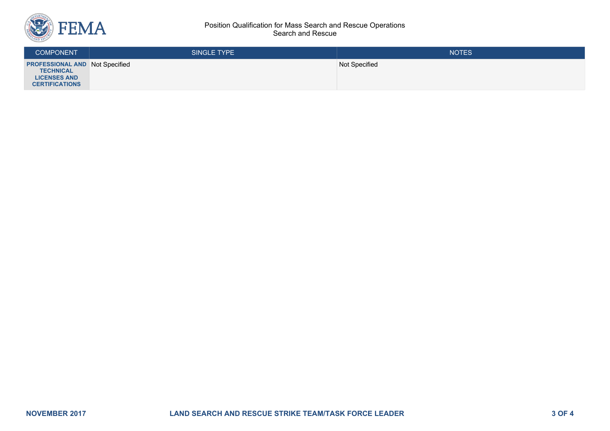

## Position Qualification for Mass Search and Rescue Operations Search and Rescue

| <b>COMPONENT</b>                                                                                          | <b>SINGLE TYPE</b> | <b>NOTES</b>  |
|-----------------------------------------------------------------------------------------------------------|--------------------|---------------|
| <b>PROFESSIONAL AND Not Specified</b><br><b>TECHNICAL</b><br><b>LICENSES AND</b><br><b>CERTIFICATIONS</b> |                    | Not Specified |